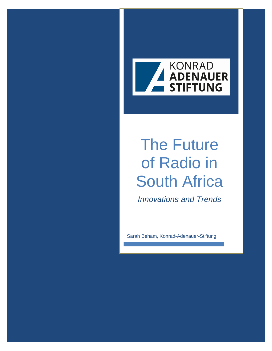

# The Future of Radio in South Africa

*Innovations and Trends*

Sarah Beham, Konrad-Adenauer-Stiftung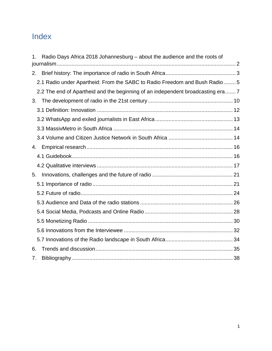## Index

| Radio Days Africa 2018 Johannesburg – about the audience and the roots of       |  |
|---------------------------------------------------------------------------------|--|
| 2.                                                                              |  |
| 2.1 Radio under Apartheid: From the SABC to Radio Freedom and Bush Radio  5     |  |
| 2.2 The end of Apartheid and the beginning of an independent broadcasting era 7 |  |
| 3.                                                                              |  |
|                                                                                 |  |
|                                                                                 |  |
|                                                                                 |  |
|                                                                                 |  |
| 4.                                                                              |  |
|                                                                                 |  |
|                                                                                 |  |
| 5.                                                                              |  |
|                                                                                 |  |
|                                                                                 |  |
|                                                                                 |  |
|                                                                                 |  |
|                                                                                 |  |
|                                                                                 |  |
|                                                                                 |  |
| 6.                                                                              |  |
| 7.                                                                              |  |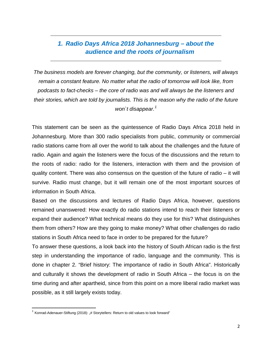## <span id="page-2-0"></span>*1. Radio Days Africa 2018 Johannesburg – about the audience and the roots of journalism*

*The business models are forever changing, but the community, or listeners, will always remain a constant feature. No matter what the radio of tomorrow will look like, from podcasts to fact-checks – the core of radio was and will always be the listeners and their stories, which are told by journalists. This is the reason why the radio of the future won`t disappear.[1](#page-2-1)*

This statement can be seen as the quintessence of Radio Days Africa 2018 held in Johannesburg. More than 300 radio specialists from public, community or commercial radio stations came from all over the world to talk about the challenges and the future of radio. Again and again the listeners were the focus of the discussions and the return to the roots of radio: radio for the listeners, interaction with them and the provision of quality content. There was also consensus on the question of the future of radio – it will survive. Radio must change, but it will remain one of the most important sources of information in South Africa.

Based on the discussions and lectures of Radio Days Africa, however, questions remained unanswered: How exactly do radio stations intend to reach their listeners or expand their audience? What technical means do they use for this? What distinguishes them from others? How are they going to make money? What other challenges do radio stations in South Africa need to face in order to be prepared for the future?

To answer these questions, a look back into the history of South African radio is the first step in understanding the importance of radio, language and the community. This is done in chapter 2. "Brief history: The importance of radio in South Africa". Historically and culturally it shows the development of radio in South Africa – the focus is on the time during and after apartheid, since from this point on a more liberal radio market was possible, as it still largely exists today.

<span id="page-2-1"></span> $1$  Konrad-Adenauer-Stiftung (2018): "# Storytellers: Return to old values to look forward"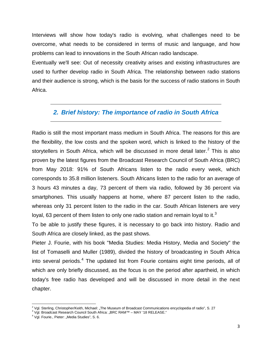Interviews will show how today's radio is evolving, what challenges need to be overcome, what needs to be considered in terms of music and language, and how problems can lead to innovations in the South African radio landscape.

Eventually we'll see: Out of necessity creativity arises and existing infrastructures are used to further develop radio in South Africa. The relationship between radio stations and their audience is strong, which is the basis for the success of radio stations in South Africa.

#### <span id="page-3-0"></span>*2. Brief history: The importance of radio in South Africa*

Radio is still the most important mass medium in South Africa. The reasons for this are the flexibility, the low costs and the spoken word, which is linked to the history of the storytellers in South Africa, which will be discussed in more detail later.<sup>[2](#page-3-1)</sup> This is also proven by the latest figures from the Broadcast Research Council of South Africa (BRC) from May 2018: 91% of South Africans listen to the radio every week, which corresponds to 35.8 million listeners. South Africans listen to the radio for an average of 3 hours 43 minutes a day, 73 percent of them via radio, followed by 36 percent via smartphones. This usually happens at home, where 87 percent listen to the radio, whereas only 31 percent listen to the radio in the car. South African listeners are very loyal, 6[3](#page-3-2) percent of them listen to only one radio station and remain loyal to it.<sup>3</sup>

To be able to justify these figures, it is necessary to go back into history. Radio and South Africa are closely linked, as the past shows.

Pieter J. Fourie, with his book "Media Studies: Media History, Media and Society" the list of Tomaselli and Muller (1989), divided the history of broadcasting in South Africa into several periods.<sup>[4](#page-3-3)</sup> The updated list from Fourie contains eight time periods, all of which are only briefly discussed, as the focus is on the period after apartheid, in which today's free radio has developed and will be discussed in more detail in the next chapter.

 $\overline{\phantom{a}}$ 

<span id="page-3-1"></span><sup>&</sup>lt;sup>2</sup> Vgl. Sterling, Christopher/Keith, Michael: "The Museum of Broadcast Communications encyclopedia of radio", S. 27<br><sup>3</sup> Vgl. Broadcast Research Council South Africa: "BRC RAM™ – MAY '18 RELEASE."

<span id="page-3-2"></span><sup>&</sup>lt;sup>3</sup> Vgl. Broadcast Research Council South Africa: "BRC RAM™ – MAY '18 RELEASE."<br><sup>4</sup> Vgl. Fourie.. Pieter: "Media Studies", S. 6.

<span id="page-3-3"></span>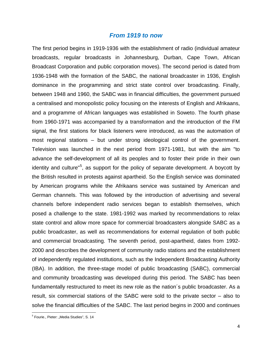#### *From 1919 to now*

The first period begins in 1919-1936 with the establishment of radio (individual amateur broadcasts, regular broadcasts in Johannesburg, Durban, Cape Town, African Broadcast Corporation and public corporation moves). The second period is dated from 1936-1948 with the formation of the SABC, the national broadcaster in 1936, English dominance in the programming and strict state control over broadcasting. Finally, between 1948 and 1960, the SABC was in financial difficulties, the government pursued a centralised and monopolistic policy focusing on the interests of English and Afrikaans, and a programme of African languages was established in Soweto. The fourth phase from 1960-1971 was accompanied by a transformation and the introduction of the FM signal, the first stations for black listeners were introduced, as was the automation of most regional stations – but under strong ideological control of the government. Television was launched in the next period from 1971-1981, but with the aim "to advance the self-development of all its peoples and to foster their pride in their own identity and culture"<sup>[5](#page-4-0)</sup>, as support for the policy of separate development. A boycott by the British resulted in protests against apartheid. So the English service was dominated by American programs while the Afrikaans service was sustained by American and German channels. This was followed by the introduction of advertising and several channels before independent radio services began to establish themselves, which posed a challenge to the state. 1981-1992 was marked by recommendations to relax state control and allow more space for commercial broadcasters alongside SABC as a public broadcaster, as well as recommendations for external regulation of both public and commercial broadcasting. The seventh period, post-apartheid, dates from 1992- 2000 and describes the development of community radio stations and the establishment of independently regulated institutions, such as the Independent Broadcasting Authority (IBA). In addition, the three-stage model of public broadcasting (SABC), commercial and community broadcasting was developed during this period. The SABC has been fundamentally restructured to meet its new role as the nation´s public broadcaster. As a result, six commercial stations of the SABC were sold to the private sector – also to solve the financial difficulties of the SABC. The last period begins in 2000 and continues

<span id="page-4-0"></span>l <sup>5</sup> Fourie., Pieter: "Media Studies", S. 14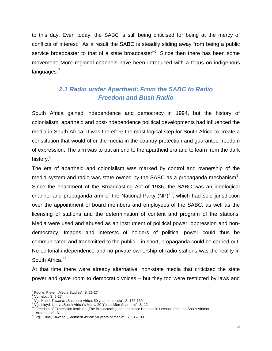to this day. Even today, the SABC is still being criticised for being at the mercy of conflicts of interest: "As a result the SABC is steadily sliding away from being a public service broadcaster to that of a state broadcaster"<sup>[6](#page-5-1)</sup>. Since then there has been some movement: More regional channels have been introduced with a focus on indigenous languages.<sup>[7](#page-5-2)</sup>

## <span id="page-5-0"></span>*2.1 Radio under Apartheid: From the SABC to Radio Freedom and Bush Radio*

South Africa gained independence and democracy in 1994, but the history of colonialism, apartheid and post-independence political developments had influenced the media in South Africa. It was therefore the most logical step for South Africa to create a constitution that would offer the media in the country protection and guarantee freedom of expression. The aim was to put an end to the apartheid era and to learn from the dark history.<sup>[8](#page-5-3)</sup>

The era of apartheid and colonialism was marked by control and ownership of the media system and radio was state-owned by the SABC as a propaganda mechanism<sup>[9](#page-5-4)</sup>. Since the enactment of the Broadcasting Act of 1936, the SABC was an ideological channel and propaganda arm of the National Party  $(NP)^{10}$ , which had sole jurisdiction over the appointment of board members and employees of the SABC, as well as the licensing of stations and the determination of content and program of the stations. Media were used and abused as an instrument of political power, oppression and nondemocracy. Images and interests of holders of political power could thus be communicated and transmitted to the public – in short, propaganda could be carried out. No editorial independence and no private ownership of radio stations was the reality in South Africa.<sup>[11](#page-5-6)</sup>

At that time there were already alternative, non-state media that criticized the state power and gave room to democratic voices – but they too were restricted by laws and

<span id="page-5-1"></span><sup>&</sup>lt;sup>6</sup> Fourie, Pieter: "Media Studies", S. 26-27

<span id="page-5-3"></span><span id="page-5-2"></span><sup>&</sup>lt;sup>7</sup> Vgl. ebd., S. 6-27<br><sup>8</sup> Vgl. Kupe, Tawana: "Southern Africa: 50 years of media", S. 136-139<br><sup>9</sup> Vgl. Lloyd, Libby: "South Africa´s Media 20 Years After Apartheid", S. 12

<span id="page-5-5"></span><span id="page-5-4"></span><sup>&</sup>lt;sup>10</sup> Freedom of Expression Institute: "The Broadcasting Independence Handbook: Lessons from the South African experience", S. 1<br><sup>11</sup> Vgl. Kupe, Tawana: "Southern Africa: 50 years of media", S. 136-139

<span id="page-5-6"></span>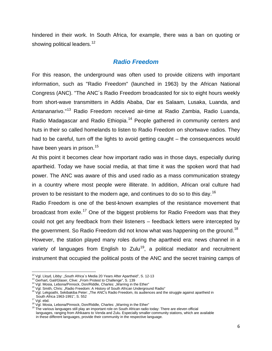hindered in their work. In South Africa, for example, there was a ban on quoting or showing political leaders.<sup>[12](#page-6-0)</sup>

#### *Radio Freedom*

For this reason, the underground was often used to provide citizens with important information, such as "Radio Freedom" (launched in 1963) by the African National Congress (ANC). "The ANC´s Radio Freedom broadcasted for six to eight hours weekly from short-wave transmitters in Addis Ababa, Dar es Salaam, Lusaka, Luanda, and Antananarivo."[13](#page-6-1) Radio Freedom received air-time at Radio Zambia, Radio Luanda, Radio Madagascar and Radio Ethiopia.<sup>[14](#page-6-2)</sup> People gathered in community centers and huts in their so called homelands to listen to Radio Freedom on shortwave radios. They had to be careful, turn off the lights to avoid getting caught – the consequences would have been years in prison.<sup>[15](#page-6-3)</sup>

At this point it becomes clear how important radio was in those days, especially during apartheid. Today we have social media, at that time it was the spoken word that had power. The ANC was aware of this and used radio as a mass communication strategy in a country where most people were illiterate. In addition, African oral culture had proven to be resistant to the modern age, and continues to do so to this day.<sup>[16](#page-6-4)</sup>

Radio Freedom is one of the best-known examples of the resistance movement that broadcast from exile.<sup>[17](#page-6-5)</sup> One of the biggest problems for Radio Freedom was that they could not get any feedback from their listeners – feedback letters were intercepted by the government. So Radio Freedom did not know what was happening on the ground.<sup>[18](#page-6-6)</sup>

However, the station played many roles during the apartheid era: news channel in a variety of languages from English to Zulu<sup>19</sup>, a political mediator and recruitment instrument that occupied the political posts of the ANC and the secret training camps of

<sup>&</sup>lt;sup>12</sup> Val. Lloyd, Libby: "South Africa's Media 20 Years After Apartheid", S. 12-13

<span id="page-6-2"></span>

<span id="page-6-4"></span><span id="page-6-3"></span>

<span id="page-6-1"></span><span id="page-6-0"></span><sup>&</sup>lt;sup>13</sup> Gerhart, Gail/Glaser, Clive: "From Protest to Challenge", S. 139<br><sup>14</sup> Vgl. Mosia, Lebona/Pinnock, Don/Riddle, Charles: "Warring in the Ether"<br><sup>15</sup> Vgl. Smith, Chris: "Radio Freedom: A History of South African Undergro

<span id="page-6-7"></span><span id="page-6-6"></span>

<span id="page-6-5"></span><sup>&</sup>lt;sup>18</sup> Vgl. Mosia, Lebona/Pinnock, Don/Riddle, Charles: "Warring in the Ether"<br><sup>18</sup> The various languages still play an important role on South African radio today: There are eleven official languages, ranging from Afrikaans to Venda and Zulu. Especially smaller community stations, which are available in these different languages, provide their community in the respective language.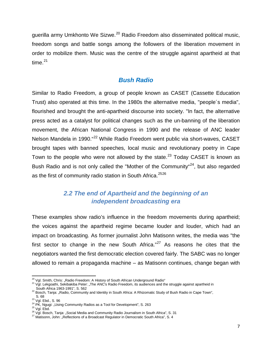guerilla army Umkhonto We Sizwe.<sup>[20](#page-7-1)</sup> Radio Freedom also disseminated political music, freedom songs and battle songs among the followers of the liberation movement in order to mobilize them. Music was the centre of the struggle against apartheid at that time. [21](#page-7-2)

#### *Bush Radio*

Similar to Radio Freedom, a group of people known as CASET (Cassette Education Trust) also operated at this time. In the 1980s the alternative media, "people´s media", flourished and brought the anti-apartheid discourse into society. "In fact, the alternative press acted as a catalyst for political changes such as the un-banning of the liberation movement, the African National Congress in 1990 and the release of ANC leader Nelson Mandela in 1990."<sup>[22](#page-7-3)</sup> While Radio Freedom went public via short-waves, CASET brought tapes with banned speeches, local music and revolutionary poetry in Cape Town to the people who were not allowed by the state.<sup>[23](#page-7-4)</sup> Today CASET is known as Bush Radio and is not only called the "Mother of the Community"<sup>24</sup>, but also regarded as the first of community radio station in South Africa.<sup>[25](#page-7-6)[26](#page-7-7)</sup>

## *2.2 The end of Apartheid and the beginning of an independent broadcasting era*

<span id="page-7-0"></span>These examples show radio's influence in the freedom movements during apartheid; the voices against the apartheid regime became louder and louder, which had an impact on broadcasting. As former journalist John Matisonn writes, the media was "the first sector to change in the new South Africa." $27$  As reasons he cites that the negotiators wanted the first democratic election covered fairly. The SABC was no longer allowed to remain a propaganda machine – as Matisonn continues, change began with

<span id="page-7-2"></span><span id="page-7-1"></span><sup>&</sup>lt;sup>20</sup> Vgl. Smith, Chris: "Radio Freedom: A History of South African Underground Radio"<br><sup>21</sup> Vgl. Lekgoathi, Sekibakiba Peter: "The ANC's Radio Freedom, its audiences and the struggle against apartheid in<br>South Africa 1963-

<span id="page-7-3"></span><sup>&</sup>lt;sup>22</sup> Bosch, Tanja: "Radio, Community and Identity in South Africa: A Rhizomatic Study of Bush Radio in Cape Town", S. 68<br>
<sup>23</sup> Vgl. Ebd., S. 96

<span id="page-7-7"></span><span id="page-7-6"></span>

<span id="page-7-5"></span><span id="page-7-4"></span><sup>&</sup>lt;sup>24</sup> PK, Ngugi: "Using Community Radios as a Tool for Development", S. 263<br><sup>25</sup> Vgl. Ebd.<br><sup>26</sup> Vgl. Ebd.<br><sup>26</sup> Vgl. Bosch, Tanja: "Social Media and Community Radio Journalism in South Africa", S. 31<br><sup>27</sup> Matisonn, John: "Re

<span id="page-7-8"></span>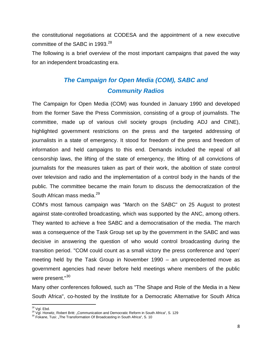the constitutional negotiations at CODESA and the appointment of a new executive committee of the SABC in 1993.<sup>[28](#page-8-0)</sup>

The following is a brief overview of the most important campaigns that paved the way for an independent broadcasting era.

## *The Campaign for Open Media (COM), SABC and Community Radios*

The Campaign for Open Media (COM) was founded in January 1990 and developed from the former Save the Press Commission, consisting of a group of journalists. The committee, made up of various civil society groups (including ADJ and CINE), highlighted government restrictions on the press and the targeted addressing of journalists in a state of emergency. It stood for freedom of the press and freedom of information and held campaigns to this end. Demands included the repeal of all censorship laws, the lifting of the state of emergency, the lifting of all convictions of journalists for the measures taken as part of their work, the abolition of state control over television and radio and the implementation of a control body in the hands of the public. The committee became the main forum to discuss the democratization of the South African mass media.<sup>[29](#page-8-1)</sup>

COM's most famous campaign was "March on the SABC" on 25 August to protest against state-controlled broadcasting, which was supported by the ANC, among others. They wanted to achieve a free SABC and a democratisation of the media. The march was a consequence of the Task Group set up by the government in the SABC and was decisive in answering the question of who would control broadcasting during the transition period. "COM could count as a small victory the press conference and 'open' meeting held by the Task Group in November 1990 – an unprecedented move as government agencies had never before held meetings where members of the public were present."<sup>[30](#page-8-2)</sup>

Many other conferences followed, such as "The Shape and Role of the Media in a New South Africa", co-hosted by the Institute for a Democratic Alternative for South Africa

<sup>&</sup>lt;sup>28</sup> Vgl. Ebd.

<span id="page-8-2"></span><span id="page-8-1"></span><span id="page-8-0"></span><sup>&</sup>lt;sup>29</sup> Vgl. Horwitz, Robert Britt: "Communication and Democratic Reform in South Africa", S. 129 <sup>30</sup> Fokane, Tusi: "The Transformation Of Broadcasting in South Africa", S. 10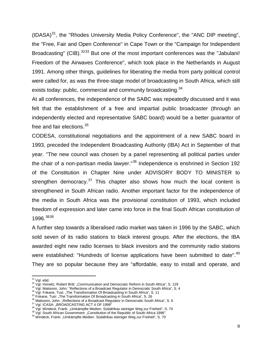$(IDASA)^{31}$  $(IDASA)^{31}$  $(IDASA)^{31}$ , the "Rhodes University Media Policy Conference", the "ANC DIP meeting", the "Free, Fair and Open Conference" in Cape Town or the "Campaign for Independent Broadcasting" (CIB).<sup>[32](#page-9-1)[33](#page-9-2)</sup> But one of the most important conferences was the "Jabulani! Freedom of the Airwaves Conference", which took place in the Netherlands in August 1991. Among other things, guidelines for liberating the media from party political control were called for, as was the three-stage model of broadcasting in South Africa, which still exists today: public, commercial and community broadcasting.<sup>[34](#page-9-3)</sup>

At all conferences, the independence of the SABC was repeatedly discussed and it was felt that the establishment of a free and impartial public broadcaster (through an independently elected and representative SABC board) would be a better guarantor of free and fair elections.<sup>[35](#page-9-4)</sup>

CODESA, constitutional negotiations and the appointment of a new SABC board in 1993, preceded the Independent Broadcasting Authority (IBA) Act in September of that year. "The new council was chosen by a panel representing all political parties under the chair of a non-partisan media lawyer."<sup>[36](#page-9-5)</sup> Independence is enshrined in Section 192 of the Constitution in Chapter Nine under ADVISORY BODY TO MINISTER to strengthen democracy.<sup>[37](#page-9-6)</sup> This chapter also shows how much the local content is strengthened in South African radio. Another important factor for the independence of the media in South Africa was the provisional constitution of 1993, which included freedom of expression and later came into force in the final South African constitution of 1996. [38](#page-9-7)[39](#page-9-8)

A further step towards a liberalised radio market was taken in 1996 by the SABC, which sold seven of its radio stations to black interest groups. After the elections, the IBA awarded eight new radio licenses to black investors and the community radio stations were established: "Hundreds of license applications have been submitted to date".<sup>[40](#page-9-9)</sup> They are so popular because they are "affordable, easy to install and operate, and

<span id="page-9-1"></span><span id="page-9-0"></span><sup>&</sup>lt;sup>31</sup> Vgl. ebd.<br><sup>32</sup> Vgl. Horwitz, Robert Britt: "Communication and Democratic Reform in South Africa", S. 129<br><sup>33</sup> Vgl. Matisonn, John: "Reflections of a Broadcast Regulator in Democratic South Africa", S. 4<br><sup>34</sup> Vgl. Fok

<span id="page-9-2"></span>

<span id="page-9-4"></span><span id="page-9-3"></span>

<span id="page-9-6"></span><span id="page-9-5"></span>

<span id="page-9-7"></span>

<span id="page-9-9"></span><span id="page-9-8"></span>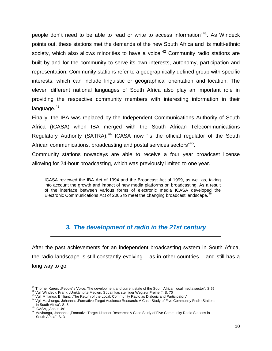people don't need to be able to read or write to access information<sup>4[41](#page-10-1)</sup>. As Windeck points out, these stations met the demands of the new South Africa and its multi-ethnic society, which also allows minorities to have a voice.<sup>[42](#page-10-2)</sup> Community radio stations are built by and for the community to serve its own interests, autonomy, participation and representation. Community stations refer to a geographically defined group with specific interests, which can include linguistic or geographical orientation and location. The eleven different national languages of South Africa also play an important role in providing the respective community members with interesting information in their language.<sup>[43](#page-10-3)</sup>

Finally, the IBA was replaced by the Independent Communications Authority of South Africa (ICASA) when IBA merged with the South African Telecommunications Regulatory Authority (SATRA).<sup>[44](#page-10-4)</sup> ICASA now "is the official regulator of the South African communications, broadcasting and postal services sectors<sup>"[45](#page-10-5)</sup>.

Community stations nowadays are able to receive a four year broadcast license allowing for 24-hour broadcasting, which was previously limited to one year.

ICASA reviewed the IBA Act of 1994 and the Broadcast Act of 1999, as well as, taking into account the growth and impact of new media platforms on broadcasting. As a result of the interface between various forms of electronic media ICASA developed the Electronic Communications Act of 2005 to meet the changing broadcast landscape.<sup>[46](#page-10-6)</sup>

## *3. The development of radio in the 21st century*

<span id="page-10-0"></span>After the past achievements for an independent broadcasting system in South Africa, the radio landscape is still constantly evolving – as in other countries – and still has a long way to go.

<sup>&</sup>lt;sup>41</sup> Thorne, Karen: "People's Voice. The development and current state of the South African local media sector", S.55

<span id="page-10-3"></span><span id="page-10-2"></span><span id="page-10-1"></span><sup>&</sup>lt;sup>42</sup> Vgl. Windeck, Frank: "Umkämpfte Medien. Südafrikas steiniger Weg zur Freiheit", S. 70<br><sup>43</sup> Vgl. Mhlanga, Brilliant: "The Return of the Local: Community Radio as Dialogic and Participatory"<br><sup>44</sup> Vgl. Mavhungu, Johanna:

<span id="page-10-6"></span><span id="page-10-5"></span>

<span id="page-10-4"></span>in South Africa", S. 3<br><sup>45</sup> ICASA, "About Us"<br><sup>46</sup> Mavhungu, Johanna: "Formative Target Listener Research: A Case Study of Five Community Radio Stations in South Africa", S. 3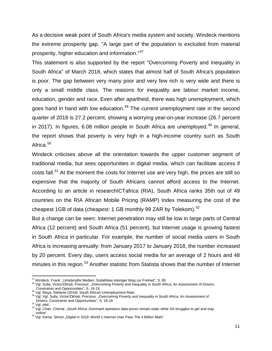As a decisive weak point of South Africa's media system and society, Windeck mentions the extreme prosperity gap. "A large part of the population is excluded from material prosperity, higher education and information."[47](#page-11-0)

This statement is also supported by the report "Overcoming Poverty and Inequality in South Africa" of March 2018, which states that almost half of South Africa's population is poor. The gap between very many poor and very few rich is very wide and there is only a small middle class. The reasons for inequality are labour market income, education, gender and race. Even after apartheid, there was high unemployment, which goes hand in hand with low education.<sup>[48](#page-11-1)</sup> The current unemployment rate in the second quarter of 2018 is 27.2 percent, showing a worrying year-on-year increase (26.7 percent in 2017). In figures, 6.08 million people in South Africa are unemployed. $49$  In general, the report shows that poverty is very high in a high-income country such as South Africa.<sup>[50](#page-11-3)</sup>

Windeck criticises above all the orientation towards the upper customer segment of traditional media, but sees opportunities in digital media, which can facilitate access if costs fall.<sup>[51](#page-11-4)</sup> At the moment the costs for Internet use are very high, the prices are still so expensive that the majority of South Africans cannot afford access to the Internet. According to an article in researchICTafrica (RIA), South Africa ranks 35th out of 49 countries on the RIA African Mobile Pricing (RAMP) Index measuring the cost of the cheapest 1GB of data (cheapest: 1 GB monthly 99 ZAR by Telekom).<sup>[52](#page-11-5)</sup>

But a change can be seen: Internet penetration may still be low in large parts of Central Africa (12 percent) and South Africa (51 percent), but Internet usage is growing fastest in South Africa in particular. For example, the number of social media users in South Africa is increasing annually: from January 2017 to January 2018, the number increased by 20 percent. Every day, users access social media for an average of 2 hours and 48 minutes in this region.<sup>[53](#page-11-6)</sup> Another statistic from Statista shows that the number of Internet

<span id="page-11-1"></span><span id="page-11-0"></span>

<sup>&</sup>lt;sup>47</sup> Windeck, Frank: "Umkämpfte Medien. Südafrikas steiniger Weg zur Freiheit", S. 85<br><sup>48</sup> Vgl. Sulla, Victor/Zikhali, Precious: "Overcoming Poverty and Inequality in South Africa: An Assessment of Drivers,<br>Constraints and

<span id="page-11-3"></span><span id="page-11-2"></span><sup>&</sup>lt;sup>49</sup> Vgl. Moya, Stefanie (2018): South African Unemployment Rate.<br><sup>50</sup> Vgl. Vgl. Sulla, Victor/Zikhali, Precious: "Overcoming Poverty and Inequality in South Africa: An Assessment of<br>Drivers, Constraints and Opportunities

<span id="page-11-5"></span><span id="page-11-4"></span>Drivers, Constraints and Opportunities", S. 19-19<br><sup>52</sup> Vgl. ebd. 52 Vgl. Chair, Chenai: "South Africa: Dominant operators data prices remain static while SA struggles to get and stay<br>online"

<span id="page-11-6"></span><sup>&</sup>lt;sup>53</sup> Vgl. Kemp, Simon "Digital in 2018: World´s Internet User Pass The 4 Billion Mark"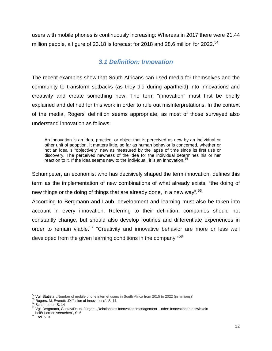<span id="page-12-0"></span>users with mobile phones is continuously increasing: Whereas in 2017 there were 21.44 million people, a figure of 23.18 is forecast for 2018 and 28.6 million for 2022.<sup>[54](#page-12-1)</sup>

## *3.1 Definition: Innovation*

The recent examples show that South Africans can used media for themselves and the community to transform setbacks (as they did during apartheid) into innovations and creativity and create something new. The term "innovation" must first be briefly explained and defined for this work in order to rule out misinterpretations. In the context of the media, Rogers' definition seems appropriate, as most of those surveyed also understand innovation as follows:

An innovation is an idea, practice, or object that is perceived as new by an individual or other unit of adoption. It matters little, so far as human behavior is concerned, whether or not an idea is "objectively" new as measured by the lapse of time since its first use or discovery. The perceived newness of the idea for the individual determines his or her reaction to it. If the idea seems new to the individual, it is an innovation.<sup>5</sup>

Schumpeter, an economist who has decisively shaped the term innovation, defines this term as the implementation of new combinations of what already exists, "the doing of new things or the doing of things that are already done, in a new way".<sup>[56](#page-12-3)</sup>

According to Bergmann and Laub, development and learning must also be taken into account in every innovation. Referring to their definition, companies should not constantly change, but should also develop routines and differentiate experiences in order to remain viable.<sup>[57](#page-12-4)</sup> "Creativity and innovative behavior are more or less well developed from the given learning conditions in the company. "<sup>[58](#page-12-5)</sup>

 $\overline{\phantom{a}}$ 

<span id="page-12-2"></span>

<span id="page-12-4"></span><span id="page-12-3"></span>

<span id="page-12-1"></span><sup>&</sup>lt;sup>54</sup> Vgl. Statista: "Number of mobile phone internet users in South Africa from 2015 to 2022 (in millions)"<br><sup>55</sup> Rogers, M. Everett: "Diffusion of Innovations", S. 11<br><sup>56</sup> Schumpeter, S. 14<br><sup>57</sup> Vgl. Bergmann, Gustav/Daub, heißt Lernen verstehen", S. 5<sup>58</sup> Ebd. S. 3

<span id="page-12-5"></span>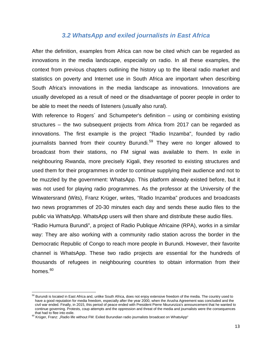#### *3.2 WhatsApp and exiled journalists in East Africa*

<span id="page-13-0"></span>After the definition, examples from Africa can now be cited which can be regarded as innovations in the media landscape, especially on radio. In all these examples, the context from previous chapters outlining the history up to the liberal radio market and statistics on poverty and Internet use in South Africa are important when describing South Africa's innovations in the media landscape as innovations. Innovations are usually developed as a result of need or the disadvantage of poorer people in order to be able to meet the needs of listeners (usually also rural).

With reference to Rogers' and Schumpeter's definition – using or combining existing structures – the two subsequent projects from Africa from 2017 can be regarded as innovations. The first example is the project "Radio Inzamba", founded by radio journalists banned from their country Burundi.<sup>[59](#page-13-1)</sup> They were no longer allowed to broadcast from their stations, no FM signal was available to them. In exile in neighbouring Rwanda, more precisely Kigali, they resorted to existing structures and used them for their programmes in order to continue supplying their audience and not to be muzzled by the government: WhatsApp. This platform already existed before, but it was not used for playing radio programmes. As the professor at the University of the Witwatersrand (Wits), Franz Krüger, writes, "Radio Inzamba" produces and broadcasts two news programmes of 20-30 minutes each day and sends these audio files to the public via WhatsApp. WhatsApp users will then share and distribute these audio files.

"Radio Humura Burundi", a project of Radio Publique Africaine (RPA), works in a similar way: They are also working with a community radio station across the border in the Democratic Republic of Congo to reach more people in Burundi. However, their favorite channel is WhatsApp. These two radio projects are essential for the hundreds of thousands of refugees in neighbouring countries to obtain information from their homes.<sup>[60](#page-13-2)</sup>

 $\overline{\phantom{a}}$ 

<span id="page-13-1"></span><sup>&</sup>lt;sup>59</sup> Burundi is located in East Africa and, unlike South Africa, does not enjoy extensive freedom of the media. The country used to have a good reputation for media freedom, especially after the year 2000, when the Arusha Agreement was concluded and the civil war ended. Finally, in 2015, this period of peace ended with President Pierre Nkurunziza's announcement that he wanted to continue governing. Protests, coup attempts and the oppression and threat of the media and journalists were the consequences

<span id="page-13-2"></span>onderidee is the exile.<br><sup>60</sup> Krüger, Franz: "Radio life without FM: Exiled Burundian radio journalists broadcast on WhatsApp"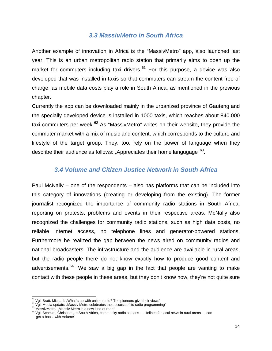#### *3.3 MassivMetro in South Africa*

<span id="page-14-0"></span>Another example of innovation in Africa is the "MassivMetro" app, also launched last year. This is an urban metropolitan radio station that primarily aims to open up the market for commuters including taxi drivers. $61$  For this purpose, a device was also developed that was installed in taxis so that commuters can stream the content free of charge, as mobile data costs play a role in South Africa, as mentioned in the previous chapter.

Currently the app can be downloaded mainly in the urbanized province of Gauteng and the specially developed device is installed in 1000 taxis, which reaches about 840.000 taxi commuters per week.<sup>[62](#page-14-3)</sup> As "MassivMetro" writes on their website, they provide the commuter market with a mix of music and content, which corresponds to the culture and lifestyle of the target group. They, too, rely on the power of language when they describe their audience as follows: "Appreciates their home langugage"<sup>63</sup>.

#### *3.4 Volume and Citizen Justice Network in South Africa*

<span id="page-14-1"></span>Paul McNally – one of the respondents – also has platforms that can be included into this category of innovations (creating or developing from the existing). The former journalist recognized the importance of community radio stations in South Africa, reporting on protests, problems and events in their respective areas. McNally also recognized the challenges for community radio stations, such as high data costs, no reliable Internet access, no telephone lines and generator-powered stations. Furthermore he realized the gap between the news aired on community radios and national broadcasters. The infrastructure and the audience are available in rural areas, but the radio people there do not know exactly how to produce good content and advertisements.<sup>[64](#page-14-5)</sup> "We saw a big gap in the fact that people are wanting to make contact with these people in these areas, but they don't know how, they're not quite sure

<sup>&</sup>lt;sup>61</sup> Vgl. Bratt, Michael: "What's up with online radio? The pioneers give their views"

<span id="page-14-5"></span>

<span id="page-14-4"></span><span id="page-14-3"></span><span id="page-14-2"></span> $^{62}$  Vgl. Media update: "Massiv Metro celebrates the success of its radio programming"<br> $^{62}$  Vgl. Media update: "Massiv Metro is a new kind of rado"<br> $^{63}$  MassivMetro: "Massiv Metro is a new kind of rado"<br> $^{64}$  Vgl. get a boost with Volume"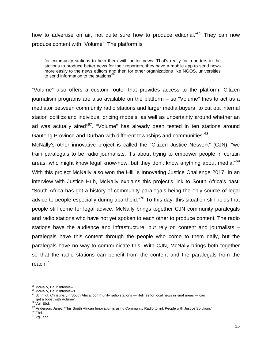how to advertise on air, not quite sure how to produce editorial."<sup>[65](#page-15-0)</sup> They can now produce content with "Volume". The platform is

for community stations to help them with better news. That's really for reporters in the stations to produce better news for their reporters, they have a mobile app to send news more easily to the news editors and then for other organizations like NGOS, universities to send information to the stations<sup>[66](#page-15-1)</sup>

"Volume" also offers a custom router that provides access to the platform. Citizen journalism programs are also available on the platform – so "Volume" tries to act as a mediator between community radio stations and larger media buyers "to cut out internal station politics and individual pricing models, as well as uncertainty around whether an ad was actually aired<sup>"67</sup>. "Volume" has already been tested in ten stations around Gauteng Province and Durban with different townships and communities.<sup>[68](#page-15-3)</sup>

McNally's other innovative project is called the "Citizen Justice Network" (CJN), "we train paralegals to be radio journalists. It's about trying to empower people in certain areas, who might know legal know-how, but they don't know anything about media."<sup>[69](#page-15-4)</sup> With this project McNally also won the HiiL's Innovating Justice Challenge 2017. In an interview with Justice Hub, McNally explains this project's link to South Africa's past: "South Africa has got a history of community paralegals being the only source of legal advice to people especially during apartheid."<sup>[70](#page-15-5)</sup> To this day, this situation still holds that people still come for legal advice. McNally brings together CJN community paralegals and radio stations who have not yet spoken to each other to produce content. The radio stations have the audience and infrastructure, but rely on content and journalists – paralegals have this content through the people who come to them daily, but the paralegals have no way to communicate this. With CJN, McNally brings both together so that the radio stations can benefit from the content and the paralegals from the reach. $^{71}$  $^{71}$  $^{71}$ 

<span id="page-15-5"></span>

 $\overline{\phantom{a}}$ 

<span id="page-15-2"></span><span id="page-15-1"></span>

<span id="page-15-0"></span><sup>&</sup>lt;sup>65</sup> McNally, Paul: Interview<br><sup>66</sup> McNally, Paul: Interviews<br><sup>67</sup> Schmidt, Christine: "In South Africa, community radio stations — lifelines for local news in rural areas — can<br>get a boost with Volume"<br><sup>68</sup> Vgl. Ebd.

<span id="page-15-4"></span><span id="page-15-3"></span> $\frac{1}{20}$ <br>Anderson, Janet: "This South African Innovation is using Community Radio to link People with Justice Solutions"<br><sup>70</sup> Fhd

<span id="page-15-6"></span> $71$  Vgl. ebd.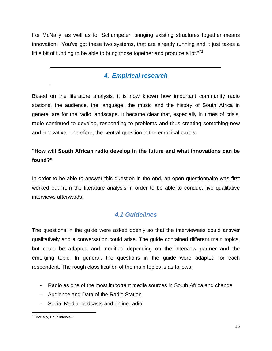<span id="page-16-0"></span>For McNally, as well as for Schumpeter, bringing existing structures together means innovation: "You've got these two systems, that are already running and it just takes a little bit of funding to be able to bring those together and produce a lot." $72$ 

## *4. Empirical research*

Based on the literature analysis, it is now known how important community radio stations, the audience, the language, the music and the history of South Africa in general are for the radio landscape. It became clear that, especially in times of crisis, radio continued to develop, responding to problems and thus creating something new and innovative. Therefore, the central question in the empirical part is:

## **"How will South African radio develop in the future and what innovations can be found?"**

In order to be able to answer this question in the end, an open questionnaire was first worked out from the literature analysis in order to be able to conduct five qualitative interviews afterwards.

## *4.1 Guidelines*

<span id="page-16-1"></span>The questions in the guide were asked openly so that the interviewees could answer qualitatively and a conversation could arise. The guide contained different main topics, but could be adapted and modified depending on the interview partner and the emerging topic. In general, the questions in the guide were adapted for each respondent. The rough classification of the main topics is as follows:

- Radio as one of the most important media sources in South Africa and change
- Audience and Data of the Radio Station
- Social Media, podcasts and online radio

<span id="page-16-2"></span>l <sup>72</sup> McNally, Paul: Interview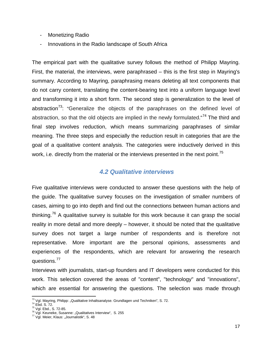- Monetizing Radio
- Innovations in the Radio landscape of South Africa

The empirical part with the qualitative survey follows the method of Philipp Mayring. First, the material, the interviews, were paraphrased – this is the first step in Mayring's summary. According to Mayring, paraphrasing means deleting all text components that do not carry content, translating the content-bearing text into a uniform language level and transforming it into a short form. The second step is generalization to the level of abstraction<sup>[73](#page-17-1)</sup>: "Generalize the objects of the paraphrases on the defined level of abstraction, so that the old objects are implied in the newly formulated. $474$  $474$  The third and final step involves reduction, which means summarizing paraphrases of similar meaning. The three steps and especially the reduction result in categories that are the goal of a qualitative content analysis. The categories were inductively derived in this work, i.e. directly from the material or the interviews presented in the next point.<sup>[75](#page-17-3)</sup>

#### <span id="page-17-0"></span>*4.2 Qualitative interviews*

Five qualitative interviews were conducted to answer these questions with the help of the guide. The qualitative survey focuses on the investigation of smaller numbers of cases, aiming to go into depth and find out the connections between human actions and thinking.<sup>[76](#page-17-4)</sup> A qualitative survey is suitable for this work because it can grasp the social reality in more detail and more deeply – however, it should be noted that the qualitative survey does not target a large number of respondents and is therefore not representative. More important are the personal opinions, assessments and experiences of the respondents, which are relevant for answering the research questions.[77](#page-17-5)

Interviews with journalists, start-up founders and IT developers were conducted for this work. This selection covered the areas of "content", "technology" and "innovations", which are essential for answering the questions. The selection was made through

l <sup>73</sup> Vgl. Mayring, Philipp: "Qualitative Inhaltsanalyse. Grundlagen und Techniken", S. 72.<br><sup>74</sup> Ebd. S. 72.<br><sup>75</sup> Vgl. Ebd., S. 72-85.<br><sup>76</sup> Vgl. Keuneke, Susanne: "Qualitatives Interview", S. 255<br><sup>77</sup> Vgl. Meier, Klaus: "Jo

<span id="page-17-2"></span><span id="page-17-1"></span>

<span id="page-17-5"></span><span id="page-17-4"></span><span id="page-17-3"></span>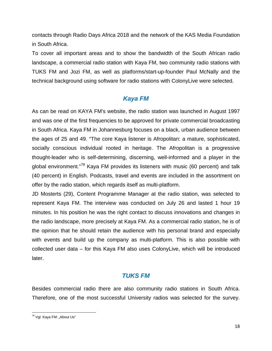contacts through Radio Days Africa 2018 and the network of the KAS Media Foundation in South Africa.

To cover all important areas and to show the bandwidth of the South African radio landscape, a commercial radio station with Kaya FM, two community radio stations with TUKS FM and Jozi FM, as well as platforms/start-up-founder Paul McNally and the technical background using software for radio stations with ColonyLive were selected.

## *Kaya FM*

As can be read on KAYA FM's website, the radio station was launched in August 1997 and was one of the first frequencies to be approved for private commercial broadcasting in South Africa. Kaya FM in Johannesburg focuses on a black, urban audience between the ages of 25 and 49. "The core Kaya listener is Afropolitan: a mature, sophisticated, socially conscious individual rooted in heritage. The Afropolitan is a progressive thought-leader who is self-determining, discerning, well-informed and a player in the global environment."[78](#page-18-0) Kaya FM provides its listeners with music (60 percent) and talk (40 percent) in English. Podcasts, travel and events are included in the assortment on offer by the radio station, which regards itself as multi-platform.

JD Mosterts (29), Content Programme Manager at the radio station, was selected to represent Kaya FM. The interview was conducted on July 26 and lasted 1 hour 19 minutes. In his position he was the right contact to discuss innovations and changes in the radio landscape, more precisely at Kaya FM. As a commercial radio station, he is of the opinion that he should retain the audience with his personal brand and especially with events and build up the company as multi-platform. This is also possible with collected user data – for this Kaya FM also uses ColonyLive, which will be introduced later.

## *TUKS FM*

Besides commercial radio there are also community radio stations in South Africa. Therefore, one of the most successful University radios was selected for the survey.

<span id="page-18-0"></span>l <sup>78</sup> Vgl. Kaya FM: "About Us"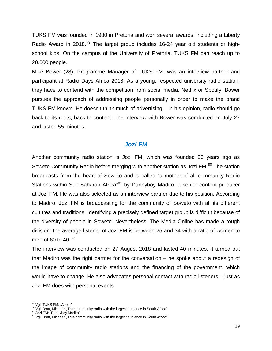TUKS FM was founded in 1980 in Pretoria and won several awards, including a Liberty Radio Award in 2018.<sup>[79](#page-19-0)</sup> The target group includes 16-24 year old students or highschool kids. On the campus of the University of Pretoria, TUKS FM can reach up to 20.000 people.

Mike Bower (28), Programme Manager of TUKS FM, was an interview partner and participant at Radio Days Africa 2018. As a young, respected university radio station, they have to contend with the competition from social media, Netflix or Spotify. Bower pursues the approach of addressing people personally in order to make the brand TUKS FM known. He doesn't think much of advertising – in his opinion, radio should go back to its roots, back to content. The interview with Bower was conducted on July 27 and lasted 55 minutes.

#### *Jozi FM*

Another community radio station is Jozi FM, which was founded 23 years ago as Soweto Community Radio before merging with another station as Jozi FM.<sup>[80](#page-19-1)</sup> The station broadcasts from the heart of Soweto and is called "a mother of all community Radio Stations within Sub-Saharan Africa<sup>"[81](#page-19-2)</sup> by Dannyboy Madiro, a senior content producer at Jozi FM. He was also selected as an interview partner due to his position. According to Madiro, Jozi FM is broadcasting for the community of Soweto with all its different cultures and traditions. Identifying a precisely defined target group is difficult because of the diversity of people in Soweto. Nevertheless, The Media Online has made a rough division: the average listener of Jozi FM is between 25 and 34 with a ratio of women to men of 60 to 40.<sup>[82](#page-19-3)</sup>

The interview was conducted on 27 August 2018 and lasted 40 minutes. It turned out that Madiro was the right partner for the conversation – he spoke about a redesign of the image of community radio stations and the financing of the government, which would have to change. He also advocates personal contact with radio listeners – just as Jozi FM does with personal events.

<sup>79</sup> Vgl. TUKS FM: "About"

<span id="page-19-1"></span><span id="page-19-0"></span><sup>&</sup>lt;sup>80</sup> Vgl. Torro Tivi, *Andolf*<br><sup>81</sup> Jozi FM: "Dannyboy Madiro"<br><sup>81</sup> Jozi FM: "Dannyboy Madiro"<br><sup>82</sup> Vgl. Bratt, Michael: "True community radio with the largest audience in South Africa"

<span id="page-19-2"></span>

<span id="page-19-3"></span>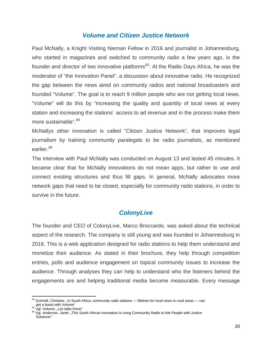#### *Volume and Citizen Justice Network*

Paul McNally, a Knight Visiting Nieman Fellow in 2016 and journalist in Johannesburg, who started in magazines and switched to community radio a few years ago, is the founder and director of two innovative platforms<sup>83</sup>. At the Radio Days Africa, he was the moderator of "the Innovation Panel", a discussion about innovative radio. He recognized the gap between the news aired on community radios and national broadcasters and founded "Volume". The goal is to reach 9 million people who are not getting local news. "Volume" will do this by "increasing the quality and quantity of local news at every station and increasing the stations´ access to ad revenue and in the process make them more sustainable". [84](#page-20-1)

McNallys other innovation is called "Citizen Justice Network", that improves legal journalism by training community paralegals to be radio journalists, as mentioned earlier.<sup>[85](#page-20-2)</sup>

The interview with Paul McNally was conducted on August 13 and lasted 45 minutes. It became clear that for McNally innovations do not mean apps, but rather to use and connect existing structures and thus fill gaps. In general, McNally advocates more network gaps that need to be closed, especially for community radio stations, in order to survive in the future.

## *ColonyLive*

The founder and CEO of ColonyLive, Marco Broccardo, was asked about the technical aspect of the research. The company is still young and was founded in Johannesburg in 2016. This is a web application designed for radio stations to help them understand and monetize their audience. As stated in their brochure, they help through competition entries, polls and audience engagement on topical community issues to increase the audience. Through analyses they can help to understand who the listeners behind the engagements are and helping traditional media become measurable. Every message

l

<span id="page-20-0"></span> $83$  Schmidt, Christine: "In South Africa, community radio stations — lifelines for local news in rural areas — can get a boost with Volume"<br>
<sup>84</sup> Vgl. Volume: "Let radio thrive"<br>
<sup>84</sup> Vgl. Volume: "Let radio thrive"<br>
<sup>85</sup> Vgl. Anderson, Janet: "This South African Innovation is using Community Radio to link People with Justice

<span id="page-20-1"></span>

<span id="page-20-2"></span>Solutions"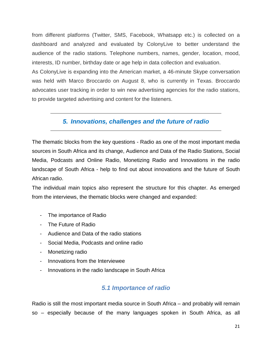from different platforms (Twitter, SMS, Facebook, Whatsapp etc.) is collected on a dashboard and analyzed and evaluated by ColonyLive to better understand the audience of the radio stations. Telephone numbers, names, gender, location, mood, interests, ID number, birthday date or age help in data collection and evaluation.

As ColonyLive is expanding into the American market, a 46-minute Skype conversation was held with Marco Broccardo on August 8, who is currently in Texas. Broccardo advocates user tracking in order to win new advertising agencies for the radio stations, to provide targeted advertising and content for the listeners.

## <span id="page-21-0"></span>*5. Innovations, challenges and the future of radio*

The thematic blocks from the key questions - Radio as one of the most important media sources in South Africa and its change, Audience and Data of the Radio Stations, Social Media, Podcasts and Online Radio, Monetizing Radio and Innovations in the radio landscape of South Africa - help to find out about innovations and the future of South African radio.

The individual main topics also represent the structure for this chapter. As emerged from the interviews, the thematic blocks were changed and expanded:

- The importance of Radio
- The Future of Radio
- Audience and Data of the radio stations
- Social Media, Podcasts and online radio
- Monetizing radio
- Innovations from the Interviewee
- <span id="page-21-1"></span>- Innovations in the radio landscape in South Africa

## *5.1 Importance of radio*

Radio is still the most important media source in South Africa – and probably will remain so – especially because of the many languages spoken in South Africa, as all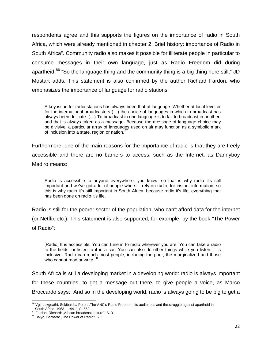respondents agree and this supports the figures on the importance of radio in South Africa, which were already mentioned in chapter 2: Brief history: importance of Radio in South Africa". Community radio also makes it possible for illiterate people in particular to consume messages in their own language, just as Radio Freedom did during apartheid.<sup>[86](#page-22-0)</sup> "So the language thing and the community thing is a big thing here still," JD Mostart adds. This statement is also confirmed by the author Richard Fardon, who emphasizes the importance of language for radio stations:

A key issue for radio stations has always been that of language. Whether at local level or for the international broadcasters (…) the choice of languages in which to broadcast has always been delicate. (…) To broadcast in one language is to fail to broadcast in another, and that is always taken as a message. Because the message of language choice may be divisive, a particular array of languages used on air may function as a symbolic mark of inclusion into a state, region or nation.<sup>[87](#page-22-1)</sup>

Furthermore, one of the main reasons for the importance of radio is that they are freely accessible and there are no barriers to access, such as the Internet, as Dannyboy Madiro means:

Radio is accessible to anyone everywhere, you know, so that is why radio it's still important and we've got a lot of people who still rely on radio, for instant information, so this is why radio it's still important in South Africa, because radio it's life, everything that has been done on radio it's life.

Radio is still for the poorer sector of the population, who can't afford data for the internet (or Netflix etc.). This statement is also supported, for example, by the book "The Power of Radio":

[Radio] It is accessible. You can tune in to radio wherever you are. You can take a radio to the fields, or listen to it in a car. You can also do other things while you listen. It is inclusive. Radio can reach most people, including the poor, the marginalized and those who cannot read or write.<sup>[88](#page-22-2)</sup>

South Africa is still a developing market in a developing world: radio is always important for these countries, to get a message out there, to give people a voice, as Marco Broccardo says: "And so in the developing world, radio is always going to be big to get a

 $\overline{\phantom{a}}$ 

<span id="page-22-0"></span> $86$  Vgl. Lekgoathi, Sekibakiba Peter: "The ANC's Radio Freedom, its audiences and the struggle against apartheid in South Africa, 1963 – 1991", S. 552<br>
<sup>87</sup> Fardon, Richard: "African broadcast culture", S. 3<br>
<sup>88</sup> Balya, Barbara: "The Power of Radio", S. 1

<span id="page-22-1"></span>

<span id="page-22-2"></span>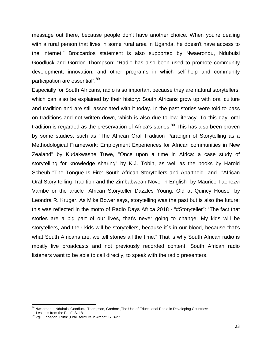message out there, because people don't have another choice. When you're dealing with a rural person that lives in some rural area in Uganda, he doesn't have access to the internet." Broccardos statement is also supported by Nwaerondu, Ndubuisi Goodluck and Gordon Thompson: "Radio has also been used to promote community development, innovation, and other programs in which self-help and community participation are essential".<sup>[89](#page-23-0)</sup>

Especially for South Africans, radio is so important because they are natural storytellers, which can also be explained by their history: South Africans grow up with oral culture and tradition and are still associated with it today. In the past stories were told to pass on traditions and not written down, which is also due to low literacy. To this day, oral tradition is regarded as the preservation of Africa's stories. $90$  This has also been proven by some studies, such as "The African Oral Tradition Paradigm of Storytelling as a Methodological Framework: Employment Experiences for African communities in New Zealand" by Kudakwashe Tuwe, "Once upon a time in Africa: a case study of storytelling for knowledge sharing" by K.J. Tobin, as well as the books by Harold Scheub "The Tongue Is Fire: South African Storytellers and Apartheid" and "African Oral Story-telling Tradition and the Zimbabwean Novel in English" by Maurice Taonezvi Vambe or the article "African Storyteller Dazzles Young, Old at Quincy House" by Leondra R. Kruger. As Mike Bower says, storytelling was the past but is also the future; this was reflected in the motto of Radio Days Africa 2018 - "#Storyteller": "The fact that stories are a big part of our lives, that's never going to change. My kids will be storytellers, and their kids will be storytellers, because it´s in our blood, because that's what South Africans are, we tell stories all the time." That is why South African radio is mostly live broadcasts and not previously recorded content. South African radio listeners want to be able to call directly, to speak with the radio presenters.

l

<span id="page-23-0"></span><sup>&</sup>lt;sup>89</sup> Nwaerondu, Ndubuisi Goodluck; Thompson, Gordon: "The Use of Educational Radio in Developing Countries:<br>Lessons from the Past", S. 18

<span id="page-23-1"></span><sup>&</sup>lt;sup>90</sup> Vgl. Finnegan, Ruth: "Oral literature in Africa", S. 3-27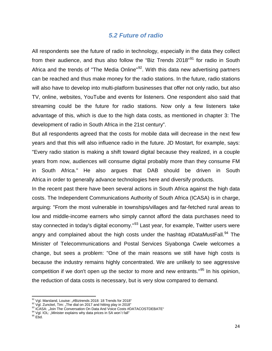#### *5.2 Future of radio*

<span id="page-24-0"></span>All respondents see the future of radio in technology, especially in the data they collect from their audience, and thus also follow the "Biz Trends 2018"<sup>[91](#page-24-1)</sup> for radio in South Africa and the trends of "The Media Online"<sup>92</sup>. With this data new advertising partners can be reached and thus make money for the radio stations. In the future, radio stations will also have to develop into multi-platform businesses that offer not only radio, but also TV, online, websites, YouTube and events for listeners. One respondent also said that streaming could be the future for radio stations. Now only a few listeners take advantage of this, which is due to the high data costs, as mentioned in chapter 3: The development of radio in South Africa in the 21st century".

But all respondents agreed that the costs for mobile data will decrease in the next few years and that this will also influence radio in the future. JD Mostart, for example, says: "Every radio station is making a shift toward digital because they realized, in a couple years from now, audiences will consume digital probably more than they consume FM in South Africa." He also argues that DAB should be driven in South Africa in order to generally advance technologies here and diversify products.

In the recent past there have been several actions in South Africa against the high data costs. The Independent Communications Authority of South Africa (ICASA) is in charge, arguing: "From the most vulnerable in townships/villages and far-fetched rural areas to low and middle-income earners who simply cannot afford the data purchases need to stay connected in today's digital economy."<sup>[93](#page-24-3)</sup> Last year, for example, Twitter users were angry and complained about the high costs under the hashtag #DataMustFall.<sup>[94](#page-24-4)</sup> The Minister of Telecommunications and Postal Services Siyabonga Cwele welcomes a change, but sees a problem: "One of the main reasons we still have high costs is because the industry remains highly concentrated. We are unlikely to see aggressive competition if we don't open up the sector to more and new entrants."<sup>[95](#page-24-5)</sup> In his opinion, the reduction of data costs is necessary, but is very slow compared to demand.

<sup>&</sup>lt;sup>91</sup> Vgl. Marsland, Louise: "#Biztrends 2018: 18 Trends for 2018"

<span id="page-24-3"></span><span id="page-24-2"></span><span id="page-24-1"></span><sup>&</sup>lt;sup>92</sup> Vgl. Zunckel, Tim: "The dial on 2017 and hitting play in 2018"<br><sup>93</sup> ICASA: "Join The Conversation On Data And Voice Costs #DATACOSTDEBATE"<br><sup>94</sup> Vgl. IOL: "Minister explains why data prices in SA won't fall"<br><sup>95</sup> Fhd

<span id="page-24-4"></span>

<span id="page-24-5"></span>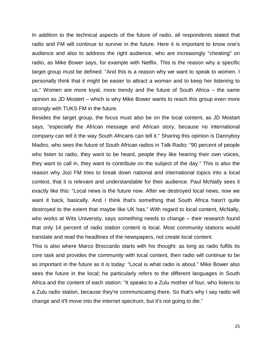In addition to the technical aspects of the future of radio, all respondents stated that radio and FM will continue to survive in the future. Here it is important to know one's audience and also to address the right audience, who are increasingly "cheating" on radio, as Mike Bower says, for example with Netflix. This is the reason why a specific target group must be defined: "And this is a reason why we want to speak to women. I personally think that it might be easier to attract a woman and to keep her listening to us." Women are more loyal, more trendy and the future of South Africa – the same opinion as JD Mostert – which is why Mike Bower wants to reach this group even more strongly with TUKS FM in the future.

Besides the target group, the focus must also be on the local content, as JD Mostart says, "especially the African message and African story, because no international company can tell it the way South Africans can tell it." Sharing this opinion is Dannyboy Madiro, who sees the future of South African radios in Talk Radio: "90 percent of people who listen to radio, they want to be heard, people they like hearing their own voices, they want to call in, they want to contribute on the subject of the day." This is also the reason why Jozi FM tries to break down national and international topics into a local context, that it is relevant and understandable for their audience. Paul McNally sees it exactly like this: "Local news is the future now. After we destroyed local news, now we want it back, basically. And I think that's something that South Africa hasn't quite destroyed to the extent that maybe like UK has." With regard to local content, McNally, who works at Wits University, says something needs to change – their research found that only 14 percent of radio station content is local. Most community stations would translate and read the headlines of the newspapers, not create local content.

This is also where Marco Broccardo starts with his thought: as long as radio fulfils its core task and provides the community with local content, then radio will continue to be as important in the future as it is today: "Local is what radio is about." Mike Bower also sees the future in the local; he particularly refers to the different languages in South Africa and the content of each station: "It speaks to a Zulu mother of four, who listens to a Zulu radio station, because they're communicating there. So that's why I say radio will change and it'll move into the internet spectrum, but it's not going to die."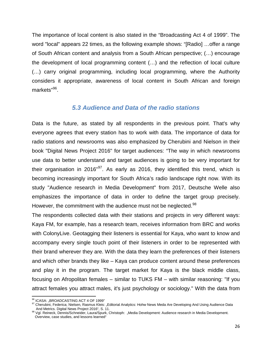The importance of local content is also stated in the "Broadcasting Act 4 of 1999". The word "local" appears 22 times, as the following example shows: "[Radio] …offer a range of South African content and analysis from a South African perspective; (…) encourage the development of local programming content (…) and the reflection of local culture (…) carry original programming, including local programming, where the Authority considers it appropriate, awareness of local content in South African and foreign markets"<sup>[96](#page-26-1)</sup>.

#### *5.3 Audience and Data of the radio stations*

<span id="page-26-0"></span>Data is the future, as stated by all respondents in the previous point. That's why everyone agrees that every station has to work with data. The importance of data for radio stations and newsrooms was also emphasized by Cherubini and Nielson in their book "Digital News Project 2016" for target audiences: "The way in which newsrooms use data to better understand and target audiences is going to be very important for their organisation in 2016"<sup>97</sup>. As early as 2016, they identified this trend, which is becoming increasingly important for South Africa's radio landscape right now. With its study "Audience research in Media Development" from 2017, Deutsche Welle also emphasizes the importance of data in order to define the target group precisely. However, the commitment with the audience must not be neglected.<sup>[98](#page-26-3)</sup>

The respondents collected data with their stations and projects in very different ways: Kaya FM, for example, has a research team, receives information from BRC and works with ColonyLive. Geotagging their listeners is essential for Kaya, who want to know and accompany every single touch point of their listeners in order to be represented with their brand wherever they are. With the data they learn the preferences of their listeners and which other brands they like – Kaya can produce content around these preferences and play it in the program. The target market for Kaya is the black middle class, focusing on Afropolitan females – similar to TUKS FM – with similar reasoning: "If you attract females you attract males, it's just psychology or sociology." With the data from

<span id="page-26-1"></span><sup>&</sup>lt;sup>96</sup> ICASA: "BROADCASTING ACT 4 OF 1999"

<span id="page-26-2"></span><sup>97</sup> Cherubini, Federica; Nielsen, Rasmus Kleis: "Editorial Analytics: Hohw News Meda Are Developing And Using Audience Data<br>And Metrics. Digital News Project 2016", S. 11.

<span id="page-26-3"></span><sup>88</sup> Vgl. Reineck, Dennis/Schneider, Laura/Spurk, Christoph: "Media Development: Audience research in Media Development. Overview, case studies, and lessons learned"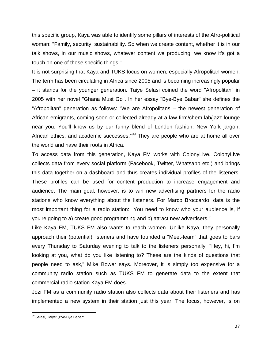this specific group, Kaya was able to identify some pillars of interests of the Afro-political woman: "Family, security, sustainability. So when we create content, whether it is in our talk shows, in our music shows, whatever content we producing, we know it's got a touch on one of those specific things."

It is not surprising that Kaya and TUKS focus on women, especially Afropolitan women. The term has been circulating in Africa since 2005 and is becoming increasingly popular – it stands for the younger generation. Taiye Selasi coined the word "Afropolitan" in 2005 with her novel "Ghana Must Go". In her essay "Bye-Bye Babar" she defines the "Afropolitan" generation as follows: "We are Afropolitans – the newest generation of African emigrants, coming soon or collected already at a law firm/chem lab/jazz lounge near you. You'll know us by our funny blend of London fashion, New York jargon, African ethics, and academic successes."<sup>[99](#page-27-0)</sup> They are people who are at home all over the world and have their roots in Africa.

To access data from this generation, Kaya FM works with ColonyLive. ColonyLive collects data from every social platform (Facebook, Twitter, Whatsapp etc.) and brings this data together on a dashboard and thus creates individual profiles of the listeners. These profiles can be used for content production to increase engagement and audience. The main goal, however, is to win new advertising partners for the radio stations who know everything about the listeners. For Marco Broccardo, data is the most important thing for a radio station: "You need to know who your audience is, if you're going to a) create good programming and b) attract new advertisers."

Like Kaya FM, TUKS FM also wants to reach women. Unlike Kaya, they personally approach their (potential) listeners and have founded a "Meet-team" that goes to bars every Thursday to Saturday evening to talk to the listeners personally: "Hey, hi, I'm looking at you, what do you like listening to? These are the kinds of questions that people need to ask," Mike Bower says. Moreover, it is simply too expensive for a community radio station such as TUKS FM to generate data to the extent that commercial radio station Kaya FM does.

Jozi FM as a community radio station also collects data about their listeners and has implemented a new system in their station just this year. The focus, however, is on

l

<span id="page-27-0"></span><sup>&</sup>lt;sup>99</sup> Selasi, Taiye: "Bye-Bye Babar"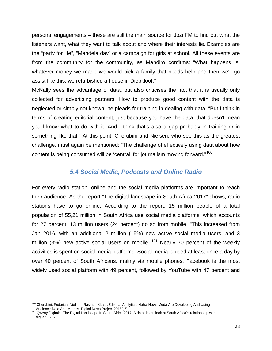personal engagements – these are still the main source for Jozi FM to find out what the listeners want, what they want to talk about and where their interests lie. Examples are the "party for life", "Mandela day" or a campaign for girls at school. All these events are from the community for the community, as Mandiro confirms: "What happens is, whatever money we made we would pick a family that needs help and then we'll go assist like this, we refurbished a house in Diepkloof."

McNally sees the advantage of data, but also criticises the fact that it is usually only collected for advertising partners. How to produce good content with the data is neglected or simply not known: he pleads for training in dealing with data: "But I think in terms of creating editorial content, just because you have the data, that doesn't mean you'll know what to do with it. And I think that's also a gap probably in training or in something like that." At this point, Cherubini and Nielsen, who see this as the greatest challenge, must again be mentioned: "The challenge of effectively using data about how content is being consumed will be 'central' for journalism moving forward."<sup>[100](#page-28-1)</sup>

#### *5.4 Social Media, Podcasts and Online Radio*

<span id="page-28-0"></span>For every radio station, online and the social media platforms are important to reach their audience. As the report "The digital landscape in South Africa 2017" shows, radio stations have to go online. According to the report, 15 million people of a total population of 55,21 million in South Africa use social media platforms, which accounts for 27 percent. 13 million users (24 percent) do so from mobile. "This increased from Jan 2016, with an additional 2 million (15%) new active social media users, and 3 million (3%) new active social users on mobile." $101$  Nearly 70 percent of the weekly activities is spent on social media platforms. Social media is used at least once a day by over 40 percent of South Africans, mainly via mobile phones. Facebook is the most widely used social platform with 49 percent, followed by YouTube with 47 percent and

 $\overline{\phantom{a}}$ 

<span id="page-28-1"></span><sup>&</sup>lt;sup>100</sup> Cherubini, Federica; Nielsen, Rasmus Kleis: "Editorial Analytics: Hohw News Meda Are Developing And Using Audience Data And Metrics. Digital News Project 2016", S. 11<br><sup>101</sup> Qwerty Digital: " The Digital Landscape In South Africa 2017. A data driven look at South Africa´s relationship with

<span id="page-28-2"></span>digital", S. 5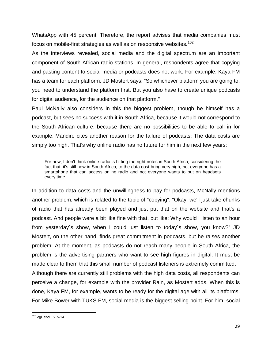WhatsApp with 45 percent. Therefore, the report advises that media companies must focus on mobile-first strategies as well as on responsive websites.<sup>[102](#page-29-0)</sup>

As the interviews revealed, social media and the digital spectrum are an important component of South African radio stations. In general, respondents agree that copying and pasting content to social media or podcasts does not work. For example, Kaya FM has a team for each platform, JD Mostert says: "So whichever platform you are going to, you need to understand the platform first. But you also have to create unique podcasts for digital audience, for the audience on that platform."

Paul McNally also considers in this the biggest problem, though he himself has a podcast, but sees no success with it in South Africa, because it would not correspond to the South African culture, because there are no possibilities to be able to call in for example. Mandiro cites another reason for the failure of podcasts: The data costs are simply too high. That's why online radio has no future for him in the next few years:

For now, I don't think online radio is hitting the right notes in South Africa, considering the fact that, it's still new in South Africa, to the data cost bring very high, not everyone has a smartphone that can access online radio and not everyone wants to put on headsets every time.

In addition to data costs and the unwillingness to pay for podcasts, McNally mentions another problem, which is related to the topic of "copying": "Okay, we'll just take chunks of radio that has already been played and just put that on the website and that's a podcast. And people were a bit like fine with that, but like: Why would I listen to an hour from yesterday´s show, when I could just listen to today´s show, you know?" JD Mostert, on the other hand, finds great commitment in podcasts, but he raises another problem: At the moment, as podcasts do not reach many people in South Africa, the problem is the advertising partners who want to see high figures in digital. It must be made clear to them that this small number of podcast listeners is extremely committed. Although there are currently still problems with the high data costs, all respondents can

perceive a change, for example with the provider Rain, as Mostert adds. When this is done, Kaya FM, for example, wants to be ready for the digital age with all its platforms. For Mike Bower with TUKS FM, social media is the biggest selling point. For him, social

l

<span id="page-29-0"></span><sup>&</sup>lt;sup>102</sup> Vgl. ebd., S. 5-14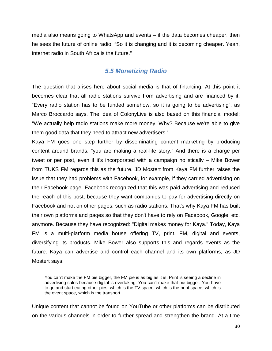media also means going to WhatsApp and events – if the data becomes cheaper, then he sees the future of online radio: "So it is changing and it is becoming cheaper. Yeah, internet radio in South Africa is the future."

#### *5.5 Monetizing Radio*

<span id="page-30-0"></span>The question that arises here about social media is that of financing. At this point it becomes clear that all radio stations survive from advertising and are financed by it: "Every radio station has to be funded somehow, so it is going to be advertising", as Marco Broccardo says. The idea of ColonyLive is also based on this financial model: "We actually help radio stations make more money. Why? Because we're able to give them good data that they need to attract new advertisers."

Kaya FM goes one step further by disseminating content marketing by producing content around brands, "you are making a real-life story." And there is a charge per tweet or per post, even if it's incorporated with a campaign holistically – Mike Bower from TUKS FM regards this as the future. JD Mostert from Kaya FM further raises the issue that they had problems with Facebook, for example, if they carried advertising on their Facebook page. Facebook recognized that this was paid advertising and reduced the reach of this post, because they want companies to pay for advertising directly on Facebook and not on other pages, such as radio stations. That's why Kaya FM has built their own platforms and pages so that they don't have to rely on Facebook, Google, etc. anymore. Because they have recognized: "Digital makes money for Kaya." Today, Kaya FM is a multi-platform media house offering TV, print, FM, digital and events, diversifying its products. Mike Bower also supports this and regards events as the future. Kaya can advertise and control each channel and its own platforms, as JD Mostert says:

You can't make the FM pie bigger, the FM pie is as big as it is. Print is seeing a decline in advertising sales because digital is overtaking. You can't make that pie bigger. You have to go and start eating other pies, which is the TV space, which is the print space, which is the event space, which is the transport.

Unique content that cannot be found on YouTube or other platforms can be distributed on the various channels in order to further spread and strengthen the brand. At a time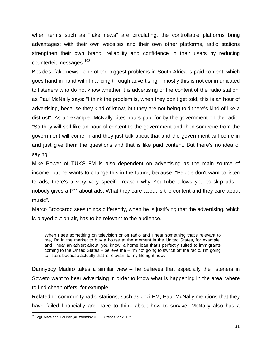when terms such as "fake news" are circulating, the controllable platforms bring advantages: with their own websites and their own other platforms, radio stations strengthen their own brand, reliability and confidence in their users by reducing counterfeit messages.<sup>[103](#page-31-0)</sup>

Besides "fake news", one of the biggest problems in South Africa is paid content, which goes hand in hand with financing through advertising – mostly this is not communicated to listeners who do not know whether it is advertising or the content of the radio station, as Paul McNally says: "I think the problem is, when they don't get told, this is an hour of advertising, because they kind of know, but they are not being told there's kind of like a distrust". As an example, McNally cites hours paid for by the government on the radio: "So they will sell like an hour of content to the government and then someone from the government will come in and they just talk about that and the government will come in and just give them the questions and that is like paid content. But there's no idea of saying."

Mike Bower of TUKS FM is also dependent on advertising as the main source of income, but he wants to change this in the future, because: "People don't want to listen to ads, there's a very very specific reason why YouTube allows you to skip ads – nobody gives a f\*\*\* about ads. What they care about is the content and they care about music".

Marco Broccardo sees things differently, when he is justifying that the advertising, which is played out on air, has to be relevant to the audience.

When I see something on television or on radio and I hear something that's relevant to me, I'm in the market to buy a house at the moment in the United States, for example, and I hear an advert about, you know, a home loan that's perfectly suited to immigrants coming to the United States – believe me – I'm not going to switch off the radio, I'm going to listen, because actually that is relevant to my life right now.

Dannyboy Madiro takes a similar view – he believes that especially the listeners in Soweto want to hear advertising in order to know what is happening in the area, where to find cheap offers, for example.

Related to community radio stations, such as Jozi FM, Paul McNally mentions that they have failed financially and have to think about how to survive. McNally also has a

<span id="page-31-0"></span>l <sup>103</sup> Vgl. Marsland, Louise: "#Biztrends2018: 18 trends for 2018"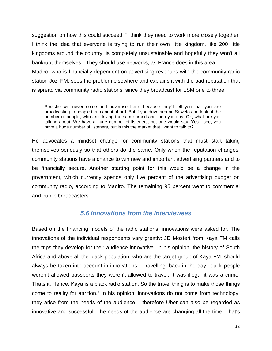suggestion on how this could succeed: "I think they need to work more closely together, I think the idea that everyone is trying to run their own little kingdom, like 200 little kingdoms around the country, is completely unsustainable and hopefully they won't all bankrupt themselves." They should use networks, as France does in this area. Madiro, who is financially dependent on advertising revenues with the community radio station Jozi FM, sees the problem elsewhere and explains it with the bad reputation that is spread via community radio stations, since they broadcast for LSM one to three.

Porsche will never come and advertise here, because they'll tell you that you are broadcasting to people that cannot afford. But if you drive around Soweto and look at the number of people, who are driving the same brand and then you say: Ok, what are you talking about. We have a huge number of listeners, but one would say: Yes I see, you have a huge number of listeners, but is this the market that I want to talk to?

He advocates a mindset change for community stations that must start taking themselves seriously so that others do the same. Only when the reputation changes, community stations have a chance to win new and important advertising partners and to be financially secure. Another starting point for this would be a change in the government, which currently spends only five percent of the advertising budget on community radio, according to Madiro. The remaining 95 percent went to commercial and public broadcasters.

#### *5.6 Innovations from the Interviewees*

<span id="page-32-0"></span>Based on the financing models of the radio stations, innovations were asked for. The innovations of the individual respondents vary greatly: JD Mostert from Kaya FM calls the trips they develop for their audience innovative. In his opinion, the history of South Africa and above all the black population, who are the target group of Kaya FM, should always be taken into account in innovations: "Travelling, back in the day, black people weren't allowed passports they weren't allowed to travel. It was illegal it was a crime. Thats it. Hence, Kaya is a black radio station. So the travel thing is to make those things come to reality for attrition." In his opinion, innovations do not come from technology, they arise from the needs of the audience – therefore Uber can also be regarded as innovative and successful. The needs of the audience are changing all the time: That's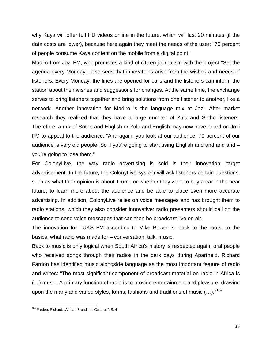why Kaya will offer full HD videos online in the future, which will last 20 minutes (if the data costs are lower), because here again they meet the needs of the user: "70 percent of people consume Kaya content on the mobile from a digital point."

Madiro from Jozi FM, who promotes a kind of citizen journalism with the project "Set the agenda every Monday", also sees that innovations arise from the wishes and needs of listeners. Every Monday, the lines are opened for calls and the listeners can inform the station about their wishes and suggestions for changes. At the same time, the exchange serves to bring listeners together and bring solutions from one listener to another, like a network. Another innovation for Madiro is the language mix at Jozi: After market research they realized that they have a large number of Zulu and Sotho listeners. Therefore, a mix of Sotho and English or Zulu and English may now have heard on Jozi FM to appeal to the audience: "And again, you look at our audience, 70 percent of our audience is very old people. So if you're going to start using English and and and and – you're going to lose them."

For ColonyLive, the way radio advertising is sold is their innovation: target advertisement. In the future, the ColonyLive system will ask listeners certain questions, such as what their opinion is about Trump or whether they want to buy a car in the near future, to learn more about the audience and be able to place even more accurate advertising. In addition, ColonyLive relies on voice messages and has brought them to radio stations, which they also consider innovative: radio presenters should call on the audience to send voice messages that can then be broadcast live on air.

The innovation for TUKS FM according to Mike Bower is: back to the roots, to the basics, what radio was made for – conversation, talk, music.

Back to music is only logical when South Africa's history is respected again, oral people who received songs through their radios in the dark days during Apartheid. Richard Fardon has identified music alongside language as the most important feature of radio and writes: "The most significant component of broadcast material on radio in Africa is (…) music. A primary function of radio is to provide entertainment and pleasure, drawing upon the many and varied styles, forms, fashions and traditions of music  $(...).$ "<sup>[104](#page-33-0)</sup>

<span id="page-33-0"></span>l <sup>104</sup> Fardon, Richard: "African Broadcast Cultures", S. 4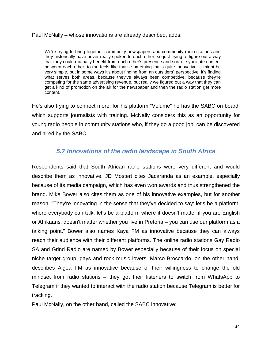#### Paul McNally – whose innovations are already described, adds:

We're trying to bring together community newspapers and community radio stations and they historically have never really spoken to each other, so just trying to figure out a way that they could mutually benefit from each other's presence and sort of syndicate content between each other, to me feels like that's something that's quite innovative. It might be very simple, but in some ways it's about finding from an outsiders´ perspective, it's finding what serves both areas, because they've always been competitive, because they're competing for the same advertising revenue, but really we figured out a way that they can get a kind of promotion on the air for the newspaper and then the radio station get more content.

He's also trying to connect more: for his platform "Volume" he has the SABC on board, which supports journalists with training. McNally considers this as an opportunity for young radio people in community stations who, if they do a good job, can be discovered and hired by the SABC.

## *5.7 Innovations of the radio landscape in South Africa*

<span id="page-34-0"></span>Respondents said that South African radio stations were very different and would describe them as innovative. JD Mostert cites Jacaranda as an example, especially because of its media campaign, which has even won awards and thus strengthened the brand. Mike Bower also cites them as one of his innovative examples, but for another reason: "They're innovating in the sense that they've decided to say: let's be a platform, where everybody can talk, let's be a platform where it doesn't matter if you are English or Afrikaans, doesn't matter whether you live in Pretoria – you can use our platform as a talking point." Bower also names Kaya FM as innovative because they can always reach their audience with their different platforms. The online radio stations Gay Radio SA and Grind Radio are named by Bower especially because of their focus on special niche target group: gays and rock music lovers. Marco Broccardo, on the other hand, describes Algoa FM as innovative because of their willingness to change the old mindset from radio stations – they got their listeners to switch from WhatsApp to Telegram if they wanted to interact with the radio station because Telegram is better for tracking.

Paul McNally, on the other hand, called the SABC innovative: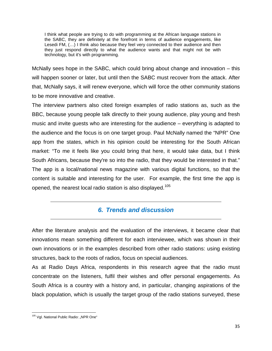I think what people are trying to do with programming at the African language stations in the SABC, they are definitely at the forefront in terms of audience engagements, like Lesedi FM, (…) I think also because they feel very connected to their audience and then they just respond directly to what the audience wants and that might not be with technology, but it's with programming.

McNally sees hope in the SABC, which could bring about change and innovation – this will happen sooner or later, but until then the SABC must recover from the attack. After that, McNally says, it will renew everyone, which will force the other community stations to be more innovative and creative.

The interview partners also cited foreign examples of radio stations as, such as the BBC, because young people talk directly to their young audience, play young and fresh music and invite guests who are interesting for the audience – everything is adapted to the audience and the focus is on one target group. Paul McNally named the "NPR" One app from the states, which in his opinion could be interesting for the South African market: "To me it feels like you could bring that here, it would take data, but I think South Africans, because they're so into the radio, that they would be interested in that." The app is a local/national news magazine with various digital functions, so that the content is suitable and interesting for the user. For example, the first time the app is opened, the nearest local radio station is also displayed.<sup>[105](#page-35-1)</sup>

## *6. Trends and discussion*

<span id="page-35-0"></span>After the literature analysis and the evaluation of the interviews, it became clear that innovations mean something different for each interviewee, which was shown in their own innovations or in the examples described from other radio stations: using existing structures, back to the roots of radios, focus on special audiences.

As at Radio Days Africa, respondents in this research agree that the radio must concentrate on the listeners, fulfil their wishes and offer personal engagements. As South Africa is a country with a history and, in particular, changing aspirations of the black population, which is usually the target group of the radio stations surveyed, these

<span id="page-35-1"></span>l <sup>105</sup> Vgl. National Public Radio: "NPR One"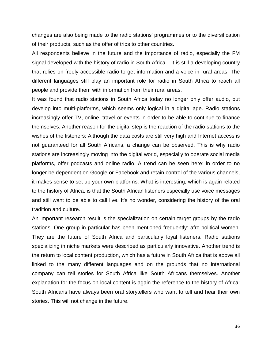changes are also being made to the radio stations' programmes or to the diversification of their products, such as the offer of trips to other countries.

All respondents believe in the future and the importance of radio, especially the FM signal developed with the history of radio in South Africa – it is still a developing country that relies on freely accessible radio to get information and a voice in rural areas. The different languages still play an important role for radio in South Africa to reach all people and provide them with information from their rural areas.

It was found that radio stations in South Africa today no longer only offer audio, but develop into multi-platforms, which seems only logical in a digital age. Radio stations increasingly offer TV, online, travel or events in order to be able to continue to finance themselves. Another reason for the digital step is the reaction of the radio stations to the wishes of the listeners: Although the data costs are still very high and Internet access is not guaranteed for all South Africans, a change can be observed. This is why radio stations are increasingly moving into the digital world, especially to operate social media platforms, offer podcasts and online radio. A trend can be seen here: in order to no longer be dependent on Google or Facebook and retain control of the various channels, it makes sense to set up your own platforms. What is interesting, which is again related to the history of Africa, is that the South African listeners especially use voice messages and still want to be able to call live. It's no wonder, considering the history of the oral tradition and culture.

An important research result is the specialization on certain target groups by the radio stations. One group in particular has been mentioned frequently: afro-political women. They are the future of South Africa and particularly loyal listeners. Radio stations specializing in niche markets were described as particularly innovative. Another trend is the return to local content production, which has a future in South Africa that is above all linked to the many different languages and on the grounds that no international company can tell stories for South Africa like South Africans themselves. Another explanation for the focus on local content is again the reference to the history of Africa: South Africans have always been oral storytellers who want to tell and hear their own stories. This will not change in the future.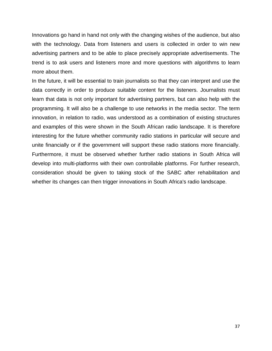Innovations go hand in hand not only with the changing wishes of the audience, but also with the technology. Data from listeners and users is collected in order to win new advertising partners and to be able to place precisely appropriate advertisements. The trend is to ask users and listeners more and more questions with algorithms to learn more about them.

In the future, it will be essential to train journalists so that they can interpret and use the data correctly in order to produce suitable content for the listeners. Journalists must learn that data is not only important for advertising partners, but can also help with the programming. It will also be a challenge to use networks in the media sector. The term innovation, in relation to radio, was understood as a combination of existing structures and examples of this were shown in the South African radio landscape. It is therefore interesting for the future whether community radio stations in particular will secure and unite financially or if the government will support these radio stations more financially. Furthermore, it must be observed whether further radio stations in South Africa will develop into multi-platforms with their own controllable platforms. For further research, consideration should be given to taking stock of the SABC after rehabilitation and whether its changes can then trigger innovations in South Africa's radio landscape.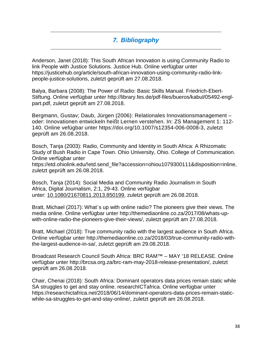## *7. Bibliography*

<span id="page-38-0"></span>Anderson, Janet (2018): This South African Innovation is using Community Radio to link People with Justice Solutions. Justice Hub. Online verfügbar unter https://justicehub.org/article/south-african-innovation-using-community-radio-linkpeople-justice-solutions, zuletzt geprüft am 27.08.2018.

Balya, Barbara (2008): The Power of Radio: Basic Skills Manual. Friedrich-Ebert-Stiftung. Online verfügbar unter http://library.fes.de/pdf-files/bueros/kabul/05492-englpart.pdf, zuletzt geprüft am 27.08.2018.

Bergmann, Gustav; Daub, Jürgen (2006): Relationales Innovationsmanagement – oder: Innovationen entwickeln heißt Lernen verstehen. In: ZS Management 1: 112- 140. Online vefügbar unter https://doi.org/10.1007/s12354-006-0008-3, zuletzt geprüft am 26.08.2018.

Bosch, Tanja (2003): Radio, Community and Identity in South Africa: A Rhizomatic Study of Bush Radio in Cape Town. Ohio University, Ohio. College of Communication. Online verfügbar unter

https://etd.ohiolink.edu/!etd.send\_file?accession=ohiou1079300111&disposition=inline, zuletzt geprüft am 26.08.2018.

Bosch, Tanja (2014): Social Media and Community Radio Journalism in South Africa, Digital Journalism, 2:1, 29-43. Online verfügbar unter: [10.1080/21670811.2013.850199,](https://doi.org/10.1080/21670811.2013.850199) zuletzt geprüft am 26.08.2018.

Bratt, Michael (2017): What´s up with online radio? The pioneers give their views. The media online. Online verfügbar unter http://themediaonline.co.za/2017/08/whats-upwith-online-radio-the-pioneers-give-their-views/, zuletzt geprüft am 27.08.2018.

Bratt, Michael (2018): True community radio with the largest audience in South Africa. Online verfügbar unter http://themediaonline.co.za/2018/03/true-community-radio-withthe-largest-audience-in-sa/, zuletzt geprüft am 29.08.2018.

Broadcast Research Council South Africa: BRC RAM™ – MAY '18 RELEASE. Online verfügbar unter http://brcsa.org.za/brc-ram-may-2018-release-presentation/, zuletzt geprüft am 26.08.2018.

Chair, Chenai (2018): South Africa: Dominant operators data prices remain static while SA struggles to get and stay online. researchICTafrica. Online verfügbar unter https://researchictafrica.net/2018/06/14/dominant-operators-data-prices-remain-staticwhile-sa-struggles-to-get-and-stay-online/, zuletzt geprüft am 26.08.2018.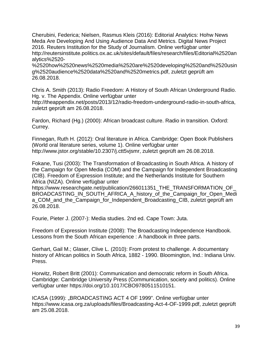Cherubini, Federica; Nielsen, Rasmus Kleis (2016): Editorial Analytics: Hohw News Meda Are Developing And Using Audience Data And Metrics. Digital News Project 2016. Reuters Institution for the Study of Journalism. Online verfügbar unter http://reutersinstitute.politics.ox.ac.uk/sites/default/files/research/files/Editorial%2520an alytics%2520-

%2520how%2520news%2520media%2520are%2520developing%2520and%2520usin g%2520audience%2520data%2520and%2520metrics.pdf, zuletzt geprüft am 26.08.2018.

Chris A. Smith (2013): Radio Freedom: A History of South African Underground Radio. Hg. v. The Appendix. Online verfügbar unter

http://theappendix.net/posts/2013/12/radio-freedom-underground-radio-in-south-africa, zuletzt geprüft am 26.08.2018.

Fardon, Richard (Hg.) (2000): African broadcast culture. Radio in transition. Oxford: Currey.

Finnegan, Ruth H. (2012): Oral literature in Africa. Cambridge: Open Book Publishers (World oral literature series, volume 1). Online verfügbar unter http://www.jstor.org/stable/10.2307/j.ctt5vjsmr, zuletzt geprüft am 26.08.2018.

Fokane, Tusi (2003): The Transformation of Broadcasting in South Africa. A history of the Campaign for Open Media (COM) and the Campaign for Independent Broadcasting (CIB). Freedom of Expression Institute; and the Netherlands Institute for Southern Africa (NIZA). Online verfügbar unter

https://www.researchgate.net/publication/266011351\_THE\_TRANSFORMATION\_OF\_ BROADCASTING\_IN\_SOUTH\_AFRICA\_A\_history\_of\_the\_Campaign\_for\_Open\_Medi a\_COM\_and\_the\_Campaign\_for\_Independent\_Broadcasting\_CIB, zuletzt geprüft am 26.08.2018.

Fourie, Pieter J. (2007-): Media studies. 2nd ed. Cape Town: Juta.

Freedom of Expression Institute (2008): The Broadcasting Independence Handbook. Lessons from the South African experience : A handbook in three parts.

Gerhart, Gail M.; Glaser, Clive L. (2010): From protest to challenge. A documentary history of African politics in South Africa, 1882 - 1990. Bloomington, Ind.: Indiana Univ. Press.

Horwitz, Robert Britt (2001): Communication and democratic reform in South Africa. Cambridge: Cambridge University Press (Communication, society and politics). Online verfügbar unter https://doi.org/10.1017/CBO9780511510151.

ICASA (1999): "BROADCASTING ACT 4 OF 1999". Online verfügbar unter https://www.icasa.org.za/uploads/files/Broadcasting-Act-4-OF-1999.pdf, zuletzt geprüft am 25.08.2018.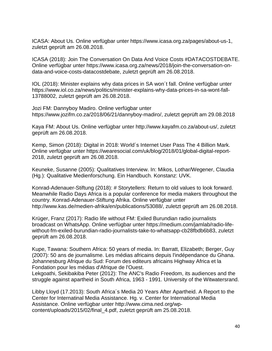ICASA: About Us. Online verfügbar unter https://www.icasa.org.za/pages/about-us-1, zuletzt geprüft am 26.08.2018.

ICASA (2018): Join The Conversation On Data And Voice Costs #DATACOSTDEBATE. Online verfügbar unter https://www.icasa.org.za/news/2018/join-the-conversation-ondata-and-voice-costs-datacostdebate, zuletzt geprüft am 26.08.2018.

IOL (2018): Minister explains why data prices in SA won´t fall. Online verfügbar unter https://www.iol.co.za/news/politics/minister-explains-why-data-prices-in-sa-wont-fall-13788002, zuletzt geprüft am 26.08.2018.

Jozi FM: Dannyboy Madiro. Online verfügbar unter https://www.jozifm.co.za/2018/06/21/dannyboy-madiro/, zuletzt geprüft am 29.08.2018

Kaya FM: About Us. Online verfügbar unter http://www.kayafm.co.za/about-us/, zuletzt geprüft am 26.08.2018.

Kemp, Simon (2018): Digital in 2018: World´s Internet User Pass The 4 Billion Mark. Online verfügbar unter https://wearesocial.com/uk/blog/2018/01/global-digital-report-2018, zuletzt geprüft am 26.08.2018.

Keuneke, Susanne (2005): Qualitatives Interview. In: Mikos, Lothar/Wegener, Claudia (Hg.): Qualitative Medienforschung. Ein Handbuch. Konstanz: UVK.

Konrad-Adenauer-Stiftung (2018): # Storytellers: Return to old values to look forward. Meanwhile Radio Days Africa is a popular conference for media makers throughout the country. Konrad-Adenauer-Stiftung Afrika. Online verfügbar unter http://www.kas.de/medien-afrika/en/publications/53088/, zuletzt geprüft am 26.08.2018.

Krüger, Franz (2017): Radio life without FM: Exiled Burundian radio journalists broadcast on WhatsApp. Online verfügbar unter https://medium.com/jamlab/radio-lifewithout-fm-exiled-burundian-radio-journalists-take-to-whatsapp-cb28fbdb6b83, zuletzt geprüft am 26.08.2018.

Kupe, Tawana: Southern Africa: 50 years of media. In: Barratt, Elizabeth; Berger, Guy (2007): 50 ans de journalisme. Les médias africains depuis l'indépendance du Ghana. Johannesburg Afrique du Sud: Forum des editeurs africains Highway Africa et la Fondation pour les médias d'Afrique de l'Ouest.

Lekgoathi, Sekibakiba Peter (2012): The ANC's Radio Freedom, its audiences and the struggle against apartheid in South Africa, 1963 - 1991. University of the Witwatersrand.

Libby Lloyd (17.2013): South Africa´s Media 20 Years After Apartheid. A Report to the Center for Internatinal Media Assistance. Hg. v. Center for International Media Assistance. Online verfügbar unter http://www.cima.ned.org/wpcontent/uploads/2015/02/final\_4.pdf, zuletzt geprüft am 25.08.2018.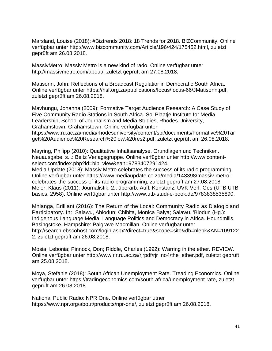Marsland, Louise (2018): #Biztrends 2018: 18 Trends for 2018. BIZCommunity. Online verfügbar unter http://www.bizcommunity.com/Article/196/424/175452.html, zuletzt geprüft am 26.08.2018.

MassivMetro: Massiv Metro is a new kind of rado. Online verfügbar unter http://massivmetro.com/about/, zuletzt geprüft am 27.08.2018.

Matisonn, John: Reflections of a Broadcast Regulatior in Democratic South Africa. Online verfügbar unter https://hsf.org.za/publications/focus/focus-66/JMatisonn.pdf, zuletzt geprüft am 26.08.2018.

Mavhungu, Johanna (2009): Formative Target Audience Research: A Case Study of Five Community Radio Stations in South Africa. Sol Plaatje Institute for Media Leadership, School of Journalism and Media Studies, Rhodes University, Grahamstown. Grahamstown. Online verfügbar unter https://www.ru.ac.za/media/rhodesuniversity/content/spi/documents/Formative%20Tar get%20Audience%20Research%20low%20res2.pdf, zuletzt geprüft am 26.08.2018.

Mayring, Philipp (2010): Qualitative Inhaltsanalyse. Grundlagen und Techniken. Neuausgabe. s.l.: Beltz Verlagsgruppe. Online verfügbar unter http://www.contentselect.com/index.php?id=bib\_view&ean=9783407291424.

Media Update (2018): Massiv Metro celebrates the success of its radio programming. Online verfügbar unter https://www.mediaupdate.co.za/media/143398/massiv-metrocelebrates-the-success-of-its-radio-programming, zuletzt geprüft am 27.08.2018. Meier, Klaus (2011): Journalistik. 2., überarb. Aufl. Konstanz: UVK-Verl.-Ges (UTB UTB basics, 2958). Online verfügbar unter http://www.utb-studi-e-book.de/9783838535890.

Mhlanga, Brilliant (2016): The Return of the Local: Community Radio as Dialogic and Participatory. In: Salawu, Abiodun; Chibita, Monica Balya; Salawu, 'Biodun (Hg.): Indigenous Language Media, Language Politics and Democracy in Africa. Houndmills, Basingstoke, Hampshire: Palgrave Macmillan. Online verfügbar unter http://search.ebscohost.com/login.aspx?direct=true&scope=site&db=nlebk&AN=109122 2, zuletzt geprüft am 26.08.2018.

Mosia, Lebonia; Pinnock, Don; Riddle, Charles (1992): Warring in the ether. REVIEW. Online verfügbar unter http://www.rjr.ru.ac.za/rjrpdf/rjr\_no4/the\_ether.pdf, zuletzt geprüft am 25.08.2018.

Moya, Stefanie (2018): South African Unemployment Rate. Treading Economics. Online verfügbar unter https://tradingeconomics.com/south-africa/unemployment-rate, zuletzt geprüft am 26.08.2018.

National Public Radio: NPR One. Online verfügbar utner https://www.npr.org/about/products/npr-one/, zuletzt geprüft am 26.08.2018.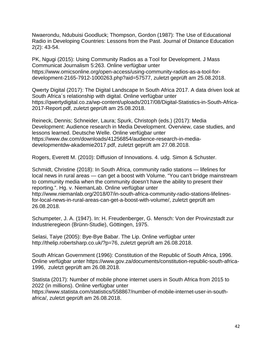Nwaerondu, Ndubuisi Goodluck; Thompson, Gordon (1987): The Use of Educational Radio in Developing Countries: Lessons from the Past. Journal of Distance Education 2(2): 43-54.

PK, Ngugi (2015): Using Community Radios as a Tool for Development. J Mass Communicat Journalism 5:263. Online verfügbar unter https://www.omicsonline.org/open-access/using-community-radios-as-a-tool-fordevelopment-2165-7912-1000263.php?aid=57577, zuletzt geprüft am 25.08.2018.

Qwerty Digital (2017): The Digital Landscape In South Africa 2017. A data driven look at South Africa´s relationship with digital. Online verfügbar unter https://qwertydigital.co.za/wp-content/uploads/2017/08/Digital-Statistics-in-South-Africa-2017-Report.pdf, zuletzt geprüft am 25.08.2018.

Reineck, Dennis; Schneider, Laura; Spurk, Christoph (eds.) (2017): Media Development: Audience research in Media Development. Overview, case studies, and lessons learned. Deutsche Welle. Online verfügbar unter https://www.dw.com/downloads/41256854/audience-research-in-mediadevelopmentdw-akademie2017.pdf, zuletzt geprüft am 27.08.2018.

Rogers, Everett M. (2010): Diffusion of Innovations. 4. udg. Simon & Schuster.

Schmidt, Christine (2018): In South Africa, community radio stations — lifelines for local news in rural areas — can get a boost with Volume. "You can't bridge mainstream to community media when the community doesn't have the ability to present their reporting.". Hg. v. NiemanLab. Online verfügbar unter http://www.niemanlab.org/2018/07/in-south-africa-community-radio-stations-lifelinesfor-local-news-in-rural-areas-can-get-a-boost-with-volume/, zuletzt geprüft am

26.08.2018.

Schumpeter, J. A. (1947). In: H. Freudenberger, G. Mensch: Von der Provinzstadt zur Industrieregieon (Brünn-Studie), Göttingen, 1975.

Selasi, Taiye (2005): Bye-Bye Babar. The Lip. Online verfügbar unter http://thelip.robertsharp.co.uk/?p=76, zuletzt geprüft am 26.08.2018.

South African Government (1996): Constitution of the Republic of South Africa, 1996. Online verfügbar unter https://www.gov.za/documents/constitution-republic-south-africa-1996, zuletzt geprüft am 26.08.2018.

Statista (2017): Number of mobile phone internet users in South Africa from 2015 to 2022 (in millions). Online verfügbar unter https://www.statista.com/statistics/558867/number-of-mobile-internet-user-in-southafrica/, zuletzt geprüft am 26.08.2018.